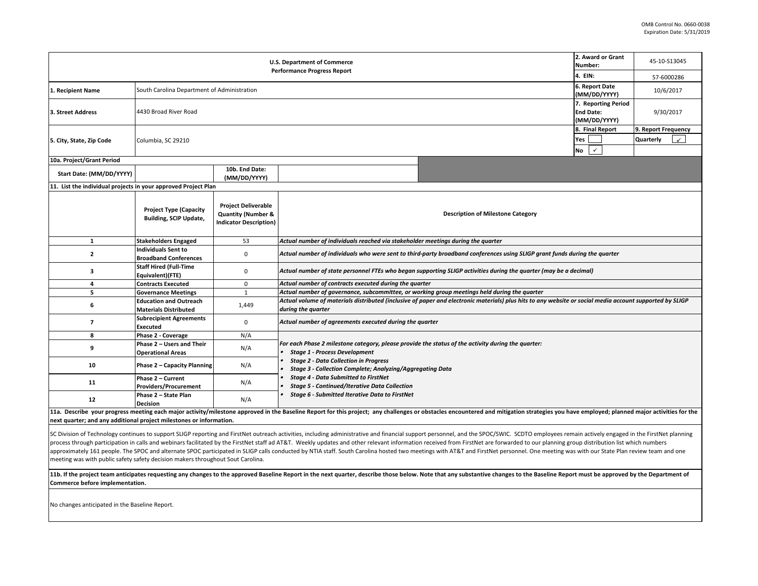| <b>U.S. Department of Commerce</b><br><b>Performance Progress Report</b>                                                                                                                                                       |                                                                |                                                                                              |                                                                                                                                                                                |  | 2. Award or Grant<br>45-10-S13045 |  |  |  |  |
|--------------------------------------------------------------------------------------------------------------------------------------------------------------------------------------------------------------------------------|----------------------------------------------------------------|----------------------------------------------------------------------------------------------|--------------------------------------------------------------------------------------------------------------------------------------------------------------------------------|--|-----------------------------------|--|--|--|--|
|                                                                                                                                                                                                                                | 4. EIN:                                                        | 57-6000286                                                                                   |                                                                                                                                                                                |  |                                   |  |  |  |  |
| 1. Recipient Name                                                                                                                                                                                                              | South Carolina Department of Administration                    | 6. Report Date<br>(MM/DD/YYYY)                                                               | 10/6/2017                                                                                                                                                                      |  |                                   |  |  |  |  |
| 3. Street Address                                                                                                                                                                                                              | 4430 Broad River Road                                          | 7. Reporting Period<br><b>End Date:</b><br>(MM/DD/YYYY)                                      | 9/30/2017                                                                                                                                                                      |  |                                   |  |  |  |  |
| 5. City, State, Zip Code                                                                                                                                                                                                       | Columbia, SC 29210                                             | 8. Final Report<br>$\checkmark$                                                              | 9. Report Frequency<br>Quarterly<br>$\checkmark$                                                                                                                               |  |                                   |  |  |  |  |
| 10a. Project/Grant Period                                                                                                                                                                                                      |                                                                |                                                                                              |                                                                                                                                                                                |  |                                   |  |  |  |  |
| Start Date: (MM/DD/YYYY)                                                                                                                                                                                                       |                                                                | 10b. End Date:<br>(MM/DD/YYYY)                                                               |                                                                                                                                                                                |  |                                   |  |  |  |  |
| 11. List the individual projects in your approved Project Plan                                                                                                                                                                 |                                                                |                                                                                              |                                                                                                                                                                                |  |                                   |  |  |  |  |
|                                                                                                                                                                                                                                | <b>Project Type (Capacity</b><br><b>Building, SCIP Update,</b> | <b>Project Deliverable</b><br><b>Quantity (Number &amp;</b><br><b>Indicator Description)</b> | <b>Description of Milestone Category</b>                                                                                                                                       |  |                                   |  |  |  |  |
| $\mathbf{1}$                                                                                                                                                                                                                   | <b>Stakeholders Engaged</b>                                    | 53                                                                                           | Actual number of individuals reached via stakeholder meetings during the quarter                                                                                               |  |                                   |  |  |  |  |
| 2                                                                                                                                                                                                                              | Individuals Sent to<br><b>Broadband Conferences</b>            | $\mathbf 0$                                                                                  | Actual number of individuals who were sent to third-party broadband conferences using SLIGP grant funds during the quarter                                                     |  |                                   |  |  |  |  |
| з                                                                                                                                                                                                                              | <b>Staff Hired (Full-Time</b><br>Equivalent)(FTE)              | 0                                                                                            | Actual number of state personnel FTEs who began supporting SLIGP activities during the quarter (may be a decimal)                                                              |  |                                   |  |  |  |  |
| 4                                                                                                                                                                                                                              | <b>Contracts Executed</b>                                      | $\mathbf 0$                                                                                  | Actual number of contracts executed during the quarter                                                                                                                         |  |                                   |  |  |  |  |
| 5                                                                                                                                                                                                                              | <b>Governance Meetings</b>                                     | $\mathbf{1}$                                                                                 | Actual number of governance, subcommittee, or working group meetings held during the quarter                                                                                   |  |                                   |  |  |  |  |
| 6                                                                                                                                                                                                                              | <b>Education and Outreach</b><br><b>Materials Distributed</b>  | 1,449                                                                                        | Actual volume of materials distributed (inclusive of paper and electronic materials) plus hits to any website or social media account supported by SLIGP<br>during the quarter |  |                                   |  |  |  |  |
| $\overline{ }$                                                                                                                                                                                                                 | <b>Subrecipient Agreements</b><br><b>Executed</b>              | $\mathbf 0$                                                                                  | Actual number of agreements executed during the quarter                                                                                                                        |  |                                   |  |  |  |  |
| 8                                                                                                                                                                                                                              | Phase 2 - Coverage                                             | N/A                                                                                          |                                                                                                                                                                                |  |                                   |  |  |  |  |
| 9                                                                                                                                                                                                                              | Phase 2 - Users and Their<br><b>Operational Areas</b>          | N/A                                                                                          | For each Phase 2 milestone category, please provide the status of the activity during the quarter:<br><b>Stage 1 - Process Development</b>                                     |  |                                   |  |  |  |  |
| 10                                                                                                                                                                                                                             | Phase 2 - Capacity Planning                                    | N/A                                                                                          | <b>Stage 2 - Data Collection in Progress</b><br>Stage 3 - Collection Complete; Analyzing/Aggregating Data                                                                      |  |                                   |  |  |  |  |
| 11                                                                                                                                                                                                                             | Phase 2 - Current<br><b>Providers/Procurement</b>              | N/A                                                                                          | <b>Stage 4 - Data Submitted to FirstNet</b><br><b>Stage 5 - Continued/Iterative Data Collection</b>                                                                            |  |                                   |  |  |  |  |
| 12                                                                                                                                                                                                                             | Phase 2 - State Plan<br><b>Decision</b>                        | N/A                                                                                          | Stage 6 - Submitted Iterative Data to FirstNet                                                                                                                                 |  |                                   |  |  |  |  |
| 11a. Describe your progress meeting each major activity/milestone approved in the Baseline Report for this project; any challenges or obstacles encountered and mitigation strategies you have employed; planned major activit |                                                                |                                                                                              |                                                                                                                                                                                |  |                                   |  |  |  |  |

**next quarter; and any additional project milestones or information.** 

SC Division of Technology continues to support SLIGP reporting and FirstNet outreach activities, including administrative and financial support personnel, and the SPOC/SWIC. SCDTO employees remain actively engaged in the F process through participation in calls and webinars facilitated by the FirstNet staff ad AT&T. Weekly updates and other relevant information received from FirstNet are forwarded to our planning group distribution list whic approximately 161 people. The SPOC and alternate SPOC participated in SLIGP calls conducted by NTIA staff. South Carolina hosted two meetings with AT&T and FirstNet personnel. One meeting was with our State Plan review tea meeting was with public safety safety decision makers throughout Sout Carolina.

11b. If the project team anticipates requesting any changes to the approved Baseline Report in the next quarter, describe those below. Note that any substantive changes to the Baseline Report must be approved by the Depart **Commerce before implementation.** 

No changes anticipated in the Baseline Report.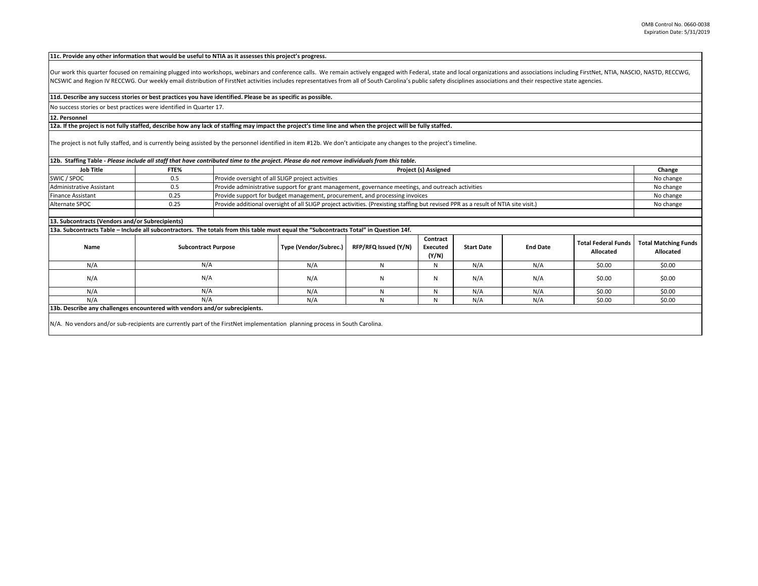## **11c. Provide any other information that would be useful to NTIA as it assesses this project's progress.**

Our work this quarter focused on remaining plugged into workshops, webinars and conference calls. We remain actively engaged with Federal, state and local organizations and associations including FirstNet, NTIA, NASCIO, NA NCSWIC and Region IV RECCWG. Our weekly email distribution of FirstNet activities includes representatives from all of South Carolina's public safety disciplines associations and their respective state agencies.

## **11d. Describe any success stories or best practices you have identified. Please be as specific as possible.**

No success stories or best practices were identified in Quarter 17.

## **12. Personnel**

## **12a. If the project is not fully staffed, describe how any lack of staffing may impact the project's time line and when the project will be fully staffed.**

The project is not fully staffed, and is currently being assisted by the personnel identified in item #12b. We don't anticipate any changes to the project's timeline.

| 12b. Staffing Table - Please include all staff that have contributed time to the project. Please do not remove individuals from this table. |                            |     |                                                                                                                                                  |                      |                               |                   |                 |                                         |                                          |  |
|---------------------------------------------------------------------------------------------------------------------------------------------|----------------------------|-----|--------------------------------------------------------------------------------------------------------------------------------------------------|----------------------|-------------------------------|-------------------|-----------------|-----------------------------------------|------------------------------------------|--|
| <b>Job Title</b>                                                                                                                            | FTE%                       |     | Project (s) Assigned                                                                                                                             |                      |                               |                   |                 |                                         |                                          |  |
| SWIC / SPOC                                                                                                                                 | 0.5                        |     | Provide oversight of all SLIGP project activities                                                                                                |                      |                               |                   |                 |                                         |                                          |  |
| <b>Administrative Assistant</b>                                                                                                             | 0.5                        |     | Provide administrative support for grant management, governance meetings, and outreach activities                                                |                      |                               |                   |                 |                                         |                                          |  |
| Finance Assistant                                                                                                                           | 0.25                       |     | Provide support for budget management, procurement, and processing invoices                                                                      |                      |                               |                   |                 |                                         |                                          |  |
| Alternate SPOC                                                                                                                              | 0.25                       |     | Provide additional oversight of all SLIGP project activities. (Prexisting staffing but revised PPR as a result of NTIA site visit.)<br>No change |                      |                               |                   |                 |                                         |                                          |  |
|                                                                                                                                             |                            |     |                                                                                                                                                  |                      |                               |                   |                 |                                         |                                          |  |
| 13. Subcontracts (Vendors and/or Subrecipients)                                                                                             |                            |     |                                                                                                                                                  |                      |                               |                   |                 |                                         |                                          |  |
| 13a. Subcontracts Table – Include all subcontractors. The totals from this table must equal the "Subcontracts Total" in Question 14f.       |                            |     |                                                                                                                                                  |                      |                               |                   |                 |                                         |                                          |  |
| Name                                                                                                                                        | <b>Subcontract Purpose</b> |     | Type (Vendor/Subrec.)                                                                                                                            | RFP/RFQ Issued (Y/N) | Contract<br>Executed<br>(Y/N) | <b>Start Date</b> | <b>End Date</b> | <b>Total Federal Funds</b><br>Allocated | <b>Total Matching Funds</b><br>Allocated |  |
| N/A                                                                                                                                         |                            | N/A | N/A                                                                                                                                              | N                    | N                             | N/A               | N/A             | \$0.00                                  | \$0.00                                   |  |
| N/A                                                                                                                                         |                            | N/A | N/A                                                                                                                                              | N                    | N                             | N/A               | N/A             | \$0.00                                  | \$0.00                                   |  |
| N/A                                                                                                                                         |                            | N/A | N/A                                                                                                                                              | N                    | N                             | N/A               | N/A             | \$0.00                                  | \$0.00                                   |  |
| N/A                                                                                                                                         | N/A                        |     | N/A                                                                                                                                              | N                    | N                             | N/A               | N/A             | \$0.00                                  | \$0.00                                   |  |
| 13b. Describe any challenges encountered with vendors and/or subrecipients.                                                                 |                            |     |                                                                                                                                                  |                      |                               |                   |                 |                                         |                                          |  |
| N/A. No vendors and/or sub-recipients are currently part of the FirstNet implementation planning process in South Carolina.                 |                            |     |                                                                                                                                                  |                      |                               |                   |                 |                                         |                                          |  |